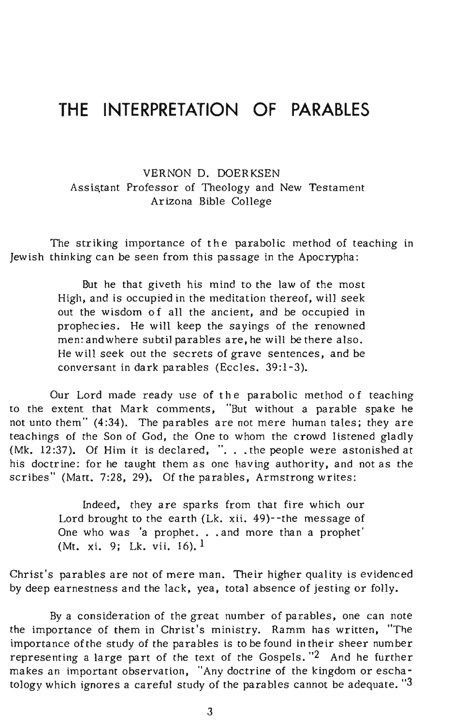# **THE INTERPRETATION OF PARABLES**

VERNON D. DOERKSEN Assistant Professor of Theology and New Testament Arizona Bible CoIlege

The striking importance of the parabolic method of teaching in Jewish thinking can be seen from this passage in the Apocrypha:

> But he that giveth his mind to the law of the most High, and is occupied in the meditation thereof, will seek out the wisdom of all the ancient, and be occupied in prophecies. He will keep the sayings of the renowned men: and where subtil parables are, he will be there also. He will seek out the secrets of grave sentences, and be conversant in dark parables (Eccles. 39:1-3).

Our Lord made ready use of the parabolic method of teaching to the extent that Mark comments, "But without a parable spake he not unto them" (4:34). The parables are not mere human tales; they are teachings of the Son of God, the One to whom the crowd listened gladly (Mk.  $12:37$ ). Of Him it is declared, ". . . the people were astonished at his doctrine: for he taught them as one having authority, and not as the scribes" (Matt. 7:28, 29). Of the parables, Armstrong writes:

> Indeed, they are sparks from that fire which our Lord brought to the earth (Lk. xii. 49)--the message of One who was 'a prophet. . . and more than a prophet' (Mt. xi. 9; Lk. vii. 16).1

Christ's parables are not of mere man. Their higher quality is evidenced by deep earnestness and the lack, yea, total absence of jesting or folly.

By a consideration of the great number of parables, one can note the importance of them in Christ's ministry. Ramm has written, "The importance of the study of the parables is to be found in their sheer number representing a large part of the text of the Gospels. "2 And he further makes an important observation, "Any doctrine of the kingdom or eschatology which ignores a careful study of the parables cannot be adequate.  $3$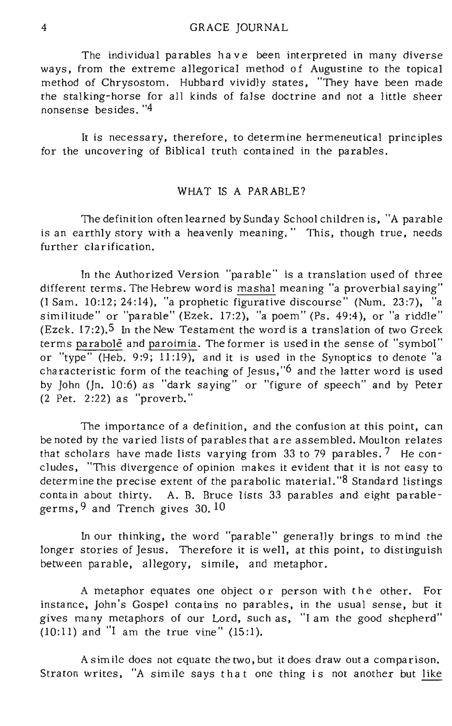The individual parables have been interpreted in many diverse ways, from the extreme allegorical method of Augustine to the topical method of Chrysostom. Hubbard vividly states, "They have been made the stalking-horse for all kinds of false doctrine and not a little sheer nonsense bes ides. "4

It is necessary, therefore, to determine hermeneutical principles for the uncovering of Biblical truth contained in the parables.

## WHAT IS A PARABLE?

The definition often learned by Sunday School children is, "A parable is an earthly story with a heavenly meaning." This, though true, needs further clarification.

In the Authorized Version "parable" is a translation used of three different terms. The Hebrew word is mashal meaning "a proverbial saying" (I Sam. 10:12; 24:14), "a prophetic figurative discourse" (Num. 23:7), "a similitude" or "parable" (Ezek. 17:2), "a poem" (Ps. 49:4), or "a riddle" (Ezek.  $17:2$ ).<sup>5</sup> In the New Testament the word is a translation of two Greek terms parabole and paroimia. The former is used in the sense of "symbol" or "type" (Heb. 9:9; 11:19), and it is used in the Synoptics to denote "a characteristic form of the teaching of Jesus," $6$  and the latter word is used by John (In. 10:6) as "dark saying" or "figure of speech" and by Peter (2 Pet. 2:22) as "proverb."

The importance of a definition, and the confusion at this point, can be noted by the varied lists of parables that are assembled. Moulton relates that scholars have made lists varying from  $33$  to 79 parables.  $7$  He concludes, "This divergence of opinion makes it evident that it is not easy to determine the precise extent of the parabolic material. "8 Standard listings contain about thirty. A. B. Bruce lists 33 parables and eight parablegerms,9 and Trench gives 30. 10

In our thinking, the word "parable" generally brings to mind the longer stories of Jesus. Therefore it is well, at this point, to distinguish between parable, allegory, simile, and metaphor.

A metaphor equates one object or person with the other. For instance, John's Gospel conta ins no parables, in the usual sense, but it gives many metaphors of our Lord, such as, "I am the good shepherd"  $(10:11)$  and  $\text{I}$  am the true vine"  $(15:1)$ .

As im ile does not equate the two, but it does draw out a comparison. Straton writes, "A simile says that one thing is not another but like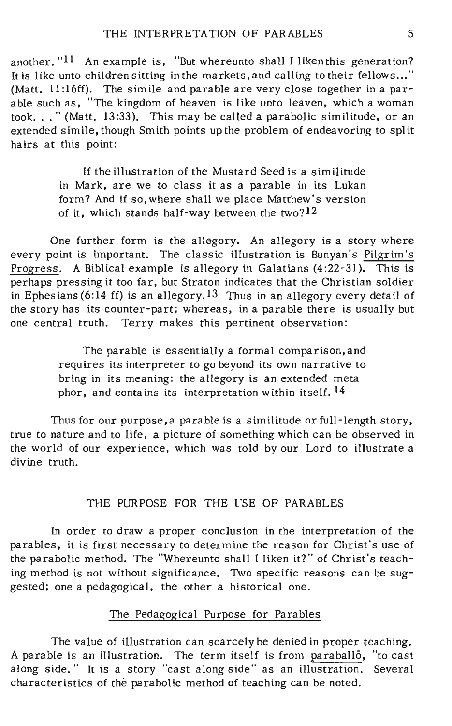another. "11 An example is, "But whereunto shall I liken this generation? It is like unto children sitting inthe markets,and calling to their fellows ... " (Matt.  $11:16ff$ ). The simile and parable are very close together in a parable such as, "The kingdom of heaven is like unto leaven, which a woman took ... "(Matt. 13:33). This may be called a parabolic similitude, or an extended simile, though Smith points up the problem of endeavoring to split hairs at this point:

> If the illustration of the Mustard Seed is a similitude in Mark, are we to class it as a parable in its Lukan form? And if *so,* where shall we place Matthew's version of it, which stands half-way between the two? 12

One further form is the allegory. An allegory is a story where every point is important. The classic illustration is Bunyan's Pilgrim's Progress. A Biblical example is allegory in Galatians (4:22-31). This is perhaps pressing it too far, but Straton indicates that the Christian soldier in Ephesians (6:14 ff) is an allegory.13 Thus in an allegory every detail of the story has its counter-part; whereas, in a parable there is usually but one central truth. Terry makes this pertinent observation:

> The parable is essentially a formal comparison, and requires its interpreter to go beyond its own narrative to bring in its meaning: the allegory is an extended metaphor, and contains its interpretation within itself. 14

Thus for our purpose, a parable is a similitude or full-length story, true to nature and to life, a picture of something which can be observed in the world of our experience, which was told by our Lord to illustrate a divine truth.

## THE PURPOSE FOR THE l'SE OF PARABLES

in order to draw a proper conclusion in the interpretation of the parables, it is first necessary to determine the reason for Christ's use of the parabolic method. The "Whereunto shall 1 liken it?" of Christ' s teaching method is not without significance. Two specific reasons can be suggested; one a pedagogical, the other a historical one.

# The Pedagogical Purpose for Parables

The value of illustration can scarcely be denied in proper teaching. A parable is an illustration. The term itself is from paraba1l6, "to cast along side." It is a story "cast along side" as an illustration. Several characteristics of the parabolic method of teaching can be noted.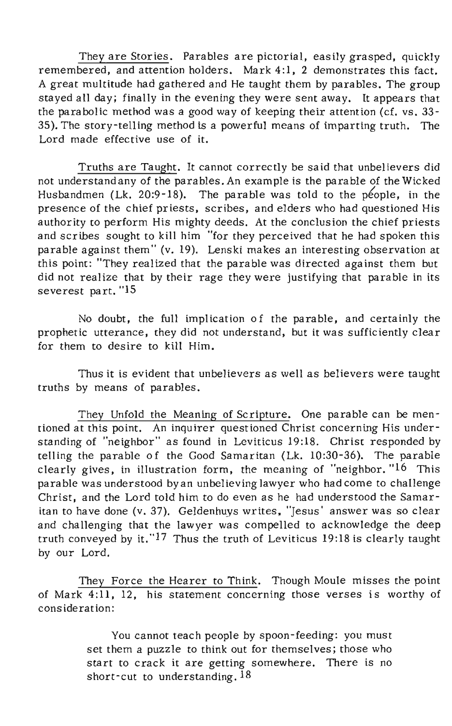They are Stories. Parables are pictorial, easily grasped, quickly remembered, and attention holders. Mark 4:1, 2 demonstrates this fact. A great multitude had gathered and He taught them by parables. The group stayed all day; finally in the evening they were sent away. It appears that the parabolic method was a good way of keeping their attention (cf. vs. 33- 35). The story-telling method is a powerful means of imparting truth. The Lord made effective use of it.

Truths are Taught. It cannot correctly be said that unbelievers did not understand any of the parables. An example is the parable of the Wicked Husbandmen (Lk. 20:9-18). The parable was told to the people, in the presence of the chief priests, scribes, and elders who had questioned His authority to perform His mighty deeds. At the conclusion the chief priests and scribes sought to kill him "for they perceived that he had spoken this parable against them" (v. 19). Lenski makes an interesting observation at this point: "They realized that the parable was directed against them but did not realize that by their rage they were justifying that parable in its severest part. "15

No doubt, the full implication of the parable, and certainly the prophetic utterance, they did not understand, but it was sufficiently clear for them to desire to kill Him.

Thus it is evident that unbelievers as well as believers were taught truths by means of parables.

They Unfold the Meaning of Scripture. One parable can be mentioned at this point. An inquirer questioned Christ concerning His understanding of "neighbor" as found in Leviticus 19:18. Christ responded by telling the parable of the Good Samaritan (Lk. 10:30-36). The parable clearly gives, in illustration form, the meaning of "neighbor. "16 This parable was understood by an unbelieving lawyer who had come to challenge Christ, and the Lord told him to do even as he had understood the Samaritan to have done (v. 37). Geldenhuys writes, "Jesus' answer was so clear and challenging that the lawyer was compelled to acknowledge the deep truth conveyed by it."17 Thus the truth of Leviticus 19:18 is clearly taught by our Lord.

They Force the Hearer to Think. Though Moule misses the point of Mark 4:11, 12, his statement concerning those verses is worthy of consideration:

> You cannot teach people by spoon-feeding: you must set them a puzzle to think out for themselves; those who start to crack it are getting somewhere. There is no short-cut to understanding.<sup>18</sup>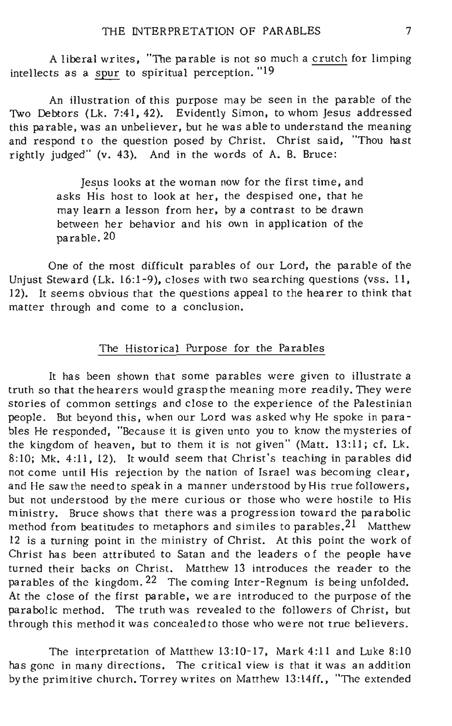A liberal writes, "The parable is not so much a crutch for limping intellects as a spur to spiritual perception."19

An illustration of this purpose may be seen in the parable of the Two Debtors (Lk. 7:41, 42). Evidently Simon, to whom Jesus addressed this parable, was an unbeliever, but he was able to understand the meaning and respond to the question posed by Christ. Christ said, "Thou hast rightly judged" (v. 43). And in the words of A. B. Bruce:

> Jesus looks at the woman now for the first time, and asks His host to look at her, the despised one, that he may learn a lesson from her, by a contrast to be drawn between her behavior and his own in application of the parable. 20

One of the most difficult parables of our Lord, the parable of the Unjust Steward (Lk. 16:1-9), closes with two searching questions (vss. 11, 12). It seems obvious that the questions appeal to the hearer to think that matter through and come to a conclusion.

## The Historical Purpose for the Parables

It has been shown that some parables were given to illustrate a truth so that the hearers would grasp the meaning more readily. They were stories of common settings and close to the experience of the Palestinian people. But beyond this, when our Lord was asked why He spoke in parables He responded, "Because it is given unto you to know the mysteries of the kingdom of heaven, but to them it is not given" (Matt. 13:11; *ct.* Lk. 8:10; Mk. 4:11, 12). It would seem that Christ's teaching in parables did not come until His rejection by the nation of Israel was becom ing clear, and He saw the need to speak in a manner understood by His true followers, but not understood by the mere curious or those who were hostile to His ministry. Bruce shows that there was a progression toward the parabolic method from beatitudes to metaphors and similes to parables.<sup>21</sup> Matthew 12 is a turning point in the ministry of Christ. At this point the work of Christ has been attributed to Satan and the leaders of the people have turned their backs on Christ. Matthew 13 introduces the reader to the parables of the kingdom. 22 The coming Inter-Regnum is being unfolded. At the close of the first parable, we are introduced to the purpose of the parabolic method. The truth was revealed to the followers of Christ, but through this method it was concealed to those who were not true believers.

The interpretation of Matthew 13:10-17, Mark 4:11 and Luke 8:10 has gone in many directions. The critical view is that it was an addition by the primitive church. Torrey writes on Matthew 13:14ff., "The extended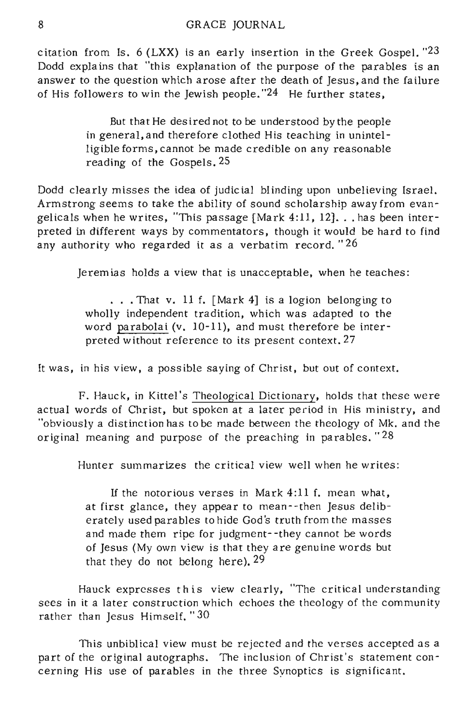citation from Is. 6 (LXX) is an early insertion in the Greek Gospel. "23 Dodd explains that "this explanation of the purpose of the parables is an answer to the question which arose after the death of Jesus, and the failure of His followers to win the Jewish people.  $24$  He further states,

> But that He des ired not to be understood by the people in general, and therefore clothed His teaching in unintelligible forms, cannot be made credible on any reasonable reading of the Gospels. 25

Dodd clearly misses the idea of judicial blinding upon unbelieving Israel. Armstrong seems to take the ability of sound scholarship away from evangelicals when he writes, "This passage [Mark 4:11, 12] ... has been interpreted in different ways by commentators, though it would be hard to find any authority who regarded it as a verbatim record. "26

Jeremias holds a view that is unacceptable, when he teaches:

... That v. 11 f. [Mark 4] is a logion belonging to wholly independent tradition, which was adapted to the word parabolai (v. 10-11), and must therefore be interpreted without reference to its present context. 27

It was, in his view, a possible saying of Christ, but out of context.

F. Hauck, in Kittel's Theological Dictionary, holds that these were actual words of Christ, but  $\frac{1}{\text{spoken at a later period in His ministry, and}}$ "obviously a distinction has to be made between the theology of Mk. and the original meaning and purpose of the preaching in parables. "28

Hunter summarizes the critical view well when he writes:

If the notorious verses in Mark 4:11 f. mean what, at first glance, they appear to mean--then Jesus deliberately used parables to hide God's truth from the masses and made them ripe for judgment- -they cannot be words of Jesus (My own view is that they are genuine words but that they do not belong here),  $29$ 

Hauck expresses t his view clearly, "The critical understanding sees in it a later construction which echoes the theology of the community rather than Jesus Himself." 30

This unbiblical view must be rejected and the verses accepted as a part of the original autographs. The inclusion of Christ's statement concerning His use of parables in the three Synoptics is significant.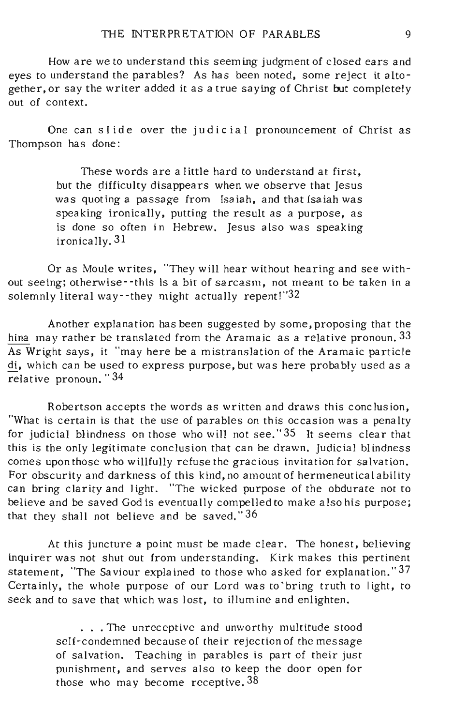How are we to understand this seem ing judgment of closed ears and eyes to understand the parables? As has been noted, some reject it altogether, or say the writer added it as a true saying of Christ but completely out of context.

One can slide over the judicial pronouncement of Christ as Thompson has done:

> These words are a little hard to understand at first, but the difficulty disappears when we observe that Jesus was quoting a passage from Isaiah, and that isaiah was speaking ironically, putting the result as a purpose, as is done so often in Hebrew. Jesus also was speaking ironically. 31

Or as Moule writes, "They will hear without hearing and see without seeing; otherwise--this is a bit of sarcasm, not meant to be taken in a solemnly literal way--they might actually repent!"32

Another explanation has been suggested by some, proposing that the hina may rather be translated from the Aramaic as a relative pronoun. 33  $\overline{As}$  Wright says, it "may here be a mistranslation of the Aramaic particle di, which can be used to express purpose, but was here probably used as a relat ive pronoun. "34

Robertson accepts the words as written and draws this conclusion, "What is certain is that the use of parables on this occasion was a penalty for judicial blindness on those who will not see." 35 It seems clear that this is the only legitimate conclusion that can be drawn. Judicial blindness comes upon those who willfully refuse the gracious invitation for salvation. For obscurity and darkness of this kind, no amount of hermeneutical ability can bring clarity and light. "The wicked purpose of the obdurate not to believe and be saved God is eventually compelled to make also his purpose; that they shall not believe and be saved.  $36$ 

At this juncture a point must be made clear. The honest, believing inquirer was not shut out from understanding. Kirk makes this pertinent statement, "The Saviour expla ined to those who asked for explanation." 37 Certainly, the whole purpose of our Lord was to·bring truth to light, to seek and to save that which was lost, to illumine and enlighten.

> . . . The unreceptive and unworthy multitude stood self-condemned because of their rejection of the message of salvation. Teaching in parables is part of their just punishment, and serves also to keep the door open for those who may become receptive. 38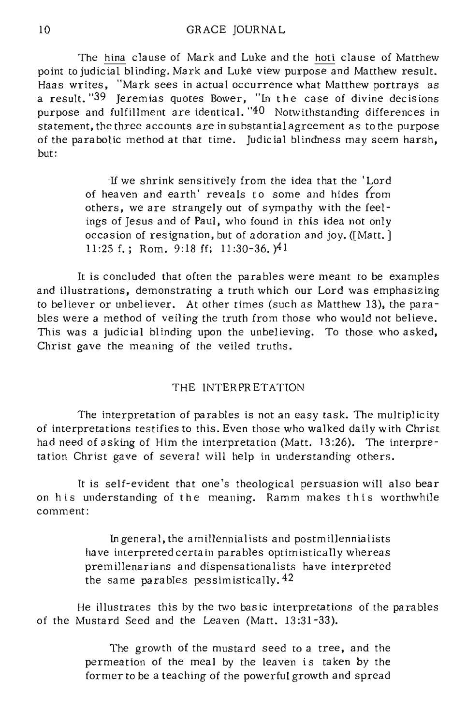The hina clause of Mark and Luke and the hoti clause of Matthew point to judicial blinding. Mark and Luke view purpose and Matthew result. Haas writes, "Mark sees in actual occurrence what Matthew portrays as a result. "39 Jeremias quotes Bower, "In the case of divine decisions" purpose and fulfillment are identical. "40 Notwithstanding differences in statement, the three accounts are in substantial agreement as to the purpose of the parabolic method at that time. Judicial blindness may seem harsh, but:

> If we shrink sensitively from the idea that the' Lord of heaven and earth' reveals to some and hides from others, we are strangely out of sympathy with the feelings of Jesus and of Paul, who found in this idea not only occasion of resignation, but of adoration and joy. ([Matt.] 11:25 f.; Rom. 9:18ff; 11:30-36.)41

It is concluded that often the parables were meant to be examples and illustrations, demonstrating a truth which our Lord was emphasizing to believer or unbeliever. At other times (such as Matthew 13), the parables were a method of veiling the truth from those who would not believe. This was a judicial blinding upon the unbelieving. To those who asked, Christ gave the meaning of the veiled truths.

## THE INTERPRETATION

The interpretation of parables is not an easy task. The multiplicity of interpretations testifies to this. Even those who walked daily with Christ had need of asking of Him the interpretation (Matt. 13:26). The interpretation Christ gave of several will help in understanding others.

It is selt-evident that one's theological persuasion will also bear on his understanding of the meaning. Ramm makes this worthwhile comment:

> In general, the amillennialists and postmillennialists have interpreted certain parables optimistically whereas premillenarians and dispensationalists have interpreted the same parables pessimistically.<sup>42</sup>

He illustrates this by the two bas ic interpretations of the parables of the Mustard Seed and the Leaven (Matt. 13 :31-33).

> The growth of the mustard seed to a tree, and the permeation of the meal by the leaven is taken by the former to be a teaching of the powerful growth and spread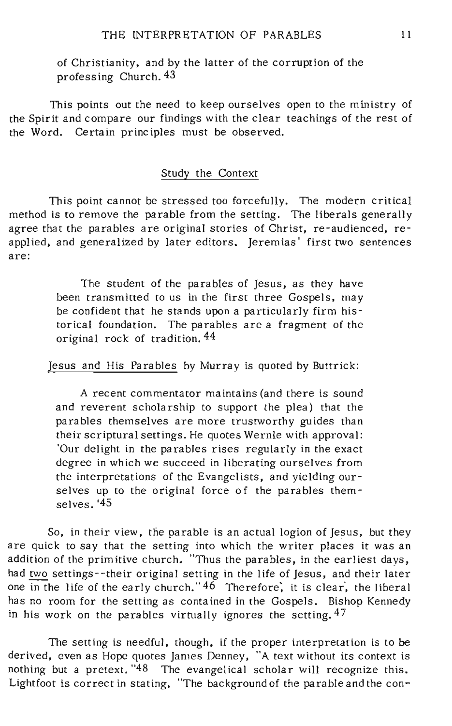of Christianity, and by the latter of the corruption of the professing Church. 43

This points out the need to keep ourselves open to the ministry of the Spirit and compare our findings with the clear teachings of the rest of the Word. Certain principles must be observed.

## Study the Context

This point cannot be stressed too forcefully. The modern critical method is to remove the parable from the setting. The liberals generally agree that the parables are original stories of Christ, re-audienced, reapplied, and generalized by later editors. Jeremias' first two sentences are:

> The student of the parables of Jesus, as they have been transmitted to us in the first three Gospels, may be confident that he stands upon a particularly firm historical foundation. The parables are a fragment of the original rock of tradition. 44

Jesus and His Parables by Murray is quoted by Buttrick:

A recent commentator maintains (and there is sound and reverent scholarship to support the plea) that the parables themselves are more trustworthy guides than their scriptural settings. He quotes Wernle with approval: 'Our delight in the parables rises regularly in the exact degree in which we succeed in liberating ourselves from the interpretations of the Evangelists, and yielding ourselves up to the original force of the parables themselves. '45

So, in their view, the parable is an actual logion of Jesus, but they are quick to say that the setting into which the writer places it was an addition of the primitive church, "Thus the parables, in the earliest days, had two settings -- their original setting in the life of Jesus, and their later one in the life of the early church."  $46$  Therefore, it is clear, the liberal has no room for the setting as contained in the Gospels. Bishop Kennedy in his work on the parables virtually ignores the setting.  $47$ 

The setting is needful, though, if the proper interpretation is to be derived, even as Hope quotes James Denney, "A text without its context is nothing but a pretext. "48 The evangelical scholar will recognize this. Lightfoot is correct in stating, "The background of the parable and the con-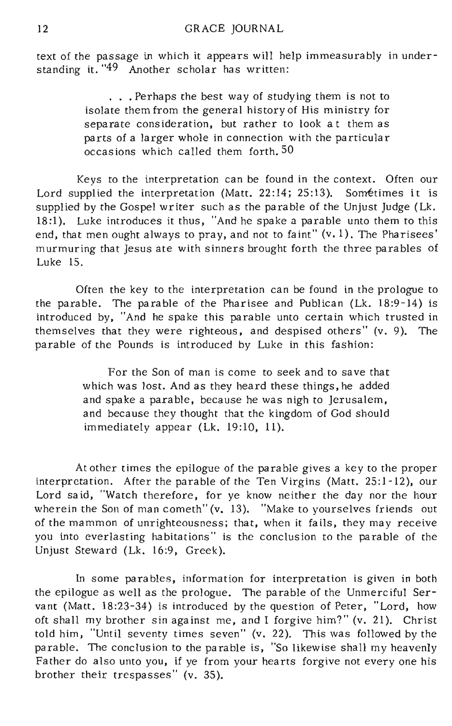text of the passage in which it appears will help immeasurably in understanding it. "49 Another scholar has written:

> ... Perhaps the best way of studying them is not to isolate them from the general history of His ministry for separate consideration, but rather to look at them as parts of a larger whole in connection with the particula r occasions which called them forth. 50

Keys to the interpretation can be found in the context. Often our Lord supplied the interpretation (Matt. 22:14; 25:13). Sometimes it is supplied by the Gospel writer such as the parable of the Unjust Judge (Lk. 18:1). Luke introduces it thus, "And he spake a parable unto them to this end, that men ought always to pray, and not to faint" (v. 1). The Pharisees' murmuring that Jesus ate with sinners brought forth the three parables of Luke 15.

Often the key to the interpretation can be found in the prologue to the parable. The parable of the Pharisee and Publican (Lk. 18:9-14) is introduced by, "And he spake this parable unto certain which trusted in themselves that they were righteous, and despised others" (v. 9). The parable of the Pounds is introduced by Luke in this fashion:

> For the Son of man is come to seek and to save that which was lost. And as they heard these things, he added and spake a parable, because he was nigh to Jerusalem, and because they thought that the kingdom of God should immediately appear (Lk. 19:10, 11).

At other times the epilogue of the parable gives a key to the proper interpretation. After the parable of the Ten Virgins (Matt. 25:1-12), our Lord said, "Watch therefore, for ye know neither the day nor the hour wherein the Son of man cometh" (v. 13). "Make to yourselves friends out of the mammon of unrighteousness; that, when it fails, they may receive you into everlasting habitations" is the conclusion to the parable of the Unjust Steward (Lk. 16:9, Greek).

In some parables, information for interpretation is given in both the epilogue as well as the prologue. The parable of the Unmerciful Servant (Matt. 18:23-34) is introduced by the question of Peter, "Lord, how oft shall my brother sin against me, and I forgive him?" (v. 21). Christ told him, "Until seventy times seven" (v. 22). This was followed by the parable. The conclusion to the parable is, "So likewise shall my heavenly Father do also unto you, if ye from your hearts forgive not everyone his brother their trespasses" (v. 35).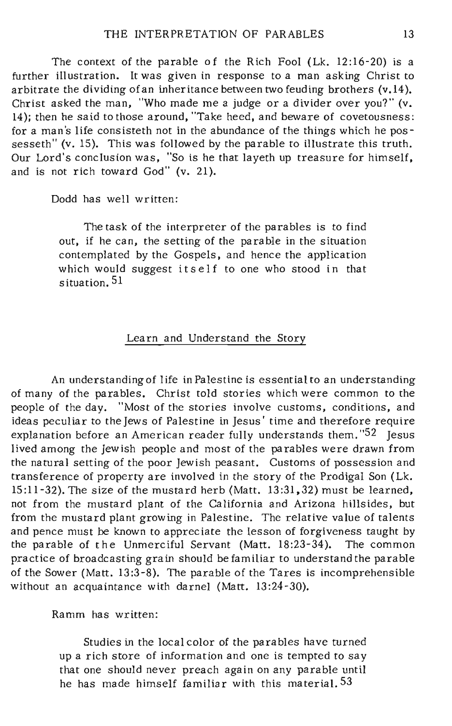The context of the parable of the Rich Fool (Lk. 12:16-20) is a further illustration. It was given in response to a man asking Christ to arbitrate the dividing of an inheritance between two feuding brothers (v.14). Christ asked the man, "Who made me a judge or a divider over you?" (v. 14); then he said to those around, "Take heed, and beware of covetousness: for a man's life consisteth not in the abundance of the things which he possesseth" (v. 15). This was followed by the parable to illustrate this truth. Our Lord's conclusion was, "So is he that layeth up treasure for himself, and is not rich toward God" (v. 21).

Dodd has well written:

The task of the interpreter of the parables is to find out, if he can, the setting of the parable in the situation contemplated by the Gospels, and hence the application which would suggest itself to one who stood in that situation. 51

#### Learn and Understand the Story

An understanding of life in Palestine is essential to an understanding of many of the parables. Christ told stories which were common to the people of the day. "Most of the stories involve customs, conditions, and ideas peculiar to the Jews of Palestine in Jesus' time and therefore require explanation before an American reader fully understands them."<sup>52</sup> Jesus lived among the Jewish people and most of the parables were drawn from the natural setting of the poor Jewish peasant. Customs of possession and transference of property are involved in the story of the Prodigal Son (Lk. 15:11-32). The size of the mustard herb (Matt. 13:31.32) must be learned, not from the mustard plant of the California and Arizona hillsides, but from the mustard plant growing in Palestine. The relative value of talents and pence must be known to appreciate the lesson of forgiveness taught by the parable of the Unmerciful Servant (Matt. 18:23-34). The common practice of broadcasting grain should be familiar to understand the parable of the Sower (Matt. 13:3-8). The parable of the Tares is incomprehensible without an acquaintance with darnel (Matt. 13:24-30).

Ramm has written:

Studies in the local color of the parables have turned up a rich store of information and one is tempted to say that one should never preach again on any parable until he has made himself familiar with this material. 53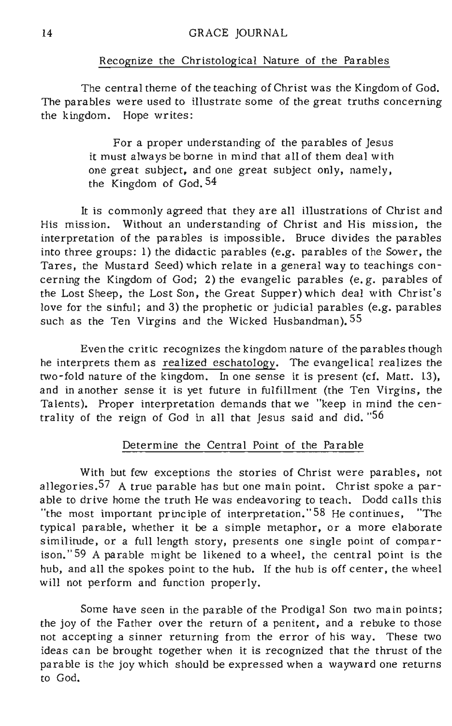#### Recognize the Christological Nature of the Parables

The central theme of the teaching of Christ was the Kingdom of God. The parables were used to illustrate some of the great truths concerning the kingdom. Hope writes:

> For a proper understanding of the parables of Jesus it must always be borne in mind that all of them deal with one great subject. and one great subject only, namely, the Kingdom of God. 54

It is commonly agreed that they are all illustrations of Christ and His mission. Without an understanding of Christ and His mission, the interpretation of the parables is imposs ible. Bruce divides the parables into three groups: 1) the didactic parables (e.g. parables of the Sower, the Tares, the Mustard Seed) which relate in a general way to teachings concerning the Kingdom of God; 2) the evangelic parables (e. g. parables of the Lost Sheep, the Lost Son, the Great Supper) which deal with Christ's love for the sinful; and 3) the prophetic or judicial parables (e.g. parables such as the Ten Virgins and the Wicked Husbandman). 55

Even the critic recognizes the kingdom nature of the parables though he interprets them as realized eschatology. The evangelical realizes the two-fold nature of the kingdom. In one sense it is present (cf. Matt. 13), and in another sense it is yet future in fulfillment (the Ten Virgins, the Talents). Proper interpretation demands that we "keep in mind the centrality of the reign of God in all that Jesus said and did. "56

#### Determine the Central Point of the Parable

With but few exceptions the stories of Christ were parables, not allegories. 57 A true parable has but one main point. Christ spoke a parable to drive home the truth He was endeavoring to teach. Dodd calls this "the most important prine iple of interpretation." 58 He continues, "The typical parable, whether it be a simple metaphor, or a more elaborate similitude, or a full length story, presents one single point of comparison." 59 A parable might be likened to a wheel, the central point is the hub, and all the spokes point to the hub. If the hub is off center, the wheel will not perform and function properly.

Some have seen in the parable of the Prodigal Son two main points; the joy of the Father over the return of a penitent, and a rebuke to those not accepting a sinner returning from the error of his way. These two ideas can be brought together when it is recognized that the thrust of the parable is the joy which should be expressed when a wayward one returns to God.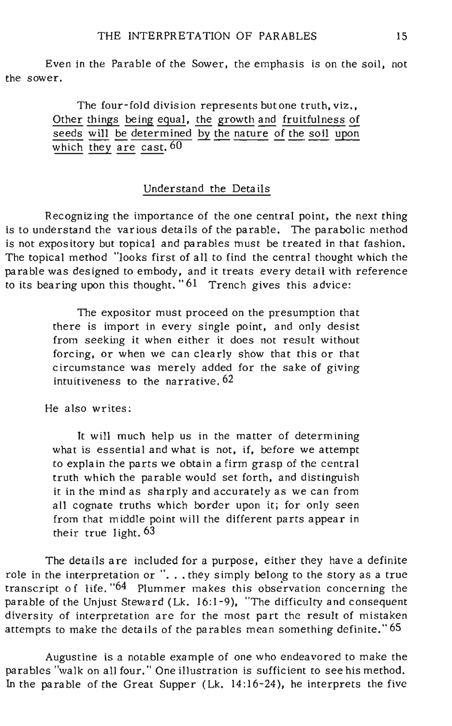Even in the Parable of the Sower, the emphasis is on the soil, not the sower.

> The four-fold division represents but one truth, viz., Other things being equal, the growth and fruitfulness of  $\overline{\text{seeds}}$  will be determined by the nature of the soil upon which they are cast.  $60$

## Understand the Details

Recognizing the importance of the one central point, the next thing is to understand the various details of the parable. The parabolic method is not expos itory but topical and parables must be treated in that fashion. The topical method "looks first of all to find the central thought which the parable was designed to embody, and it treats every detail with reference to its bearing upon this thought. "61 Trench gives this advice:

> The expositor must proceed on the presumption that there is import in every single point, and only desist from seeking it when either it does not result without forcing, or when we can clearly show that this or that circumstance was merely added for the sake of giving intuitiveness to the narrative. 62

He also writes:

It will much help us in the matter of determining what is essential and what is not, if, before we attempt to explain the parts we obtain a firm grasp of the central truth which the parable would set forth, and distinguish it in the mind as sharply and accurately as we can from all cognate truths which border upon it; for only seen from that middle point will the different parts appear in their true light. 63

The details are included for a purpose, either they have a definite role in the interpretation or "... they simply belong to the story as a true transcript of life.  $64$  Plummer makes this observation concerning the parable of the Unjust Steward (Lk. 16:1-9), "The difficulty and consequent diversity of interpretation are for the most part the result of mistaken attempts to make the details of the parables mean something definite." 65

Augustine is a notable example of one who endeavored to make the parables "walk on all four." One illustration is sufficient to see his method. In the parable of the Great Supper (Lk. 14:16-24), he interprets the five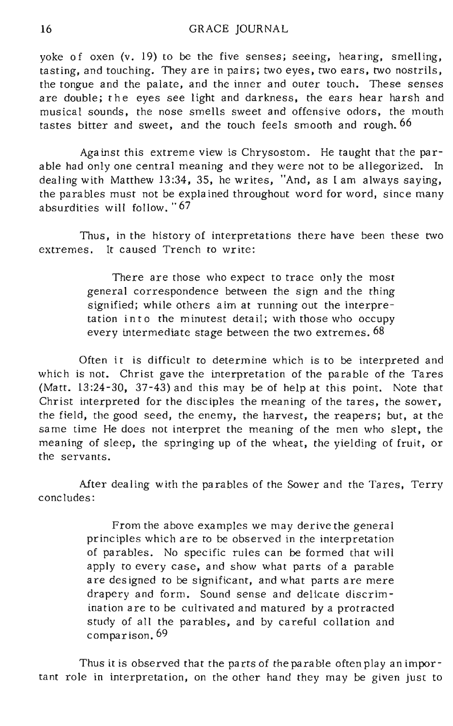yoke of oxen (v. 19) to be the five senses; seeing, hearing, smelling, tasting, and touching. They are in pairs; two eyes, two ears, two nostrils, the tongue and the palate, and the inner and outer touch. These senses are double; the eyes see light and darkness, the ears hear harsh and musical sounds, the nose smells sweet and offensive odors, the mouth tastes bitter and sweet, and the touch feels smooth and rough. 66

Against this extreme view is Chrysostom. He taught that the parable had only one central meaning and they were not to be allegorized. In dealing with Matthew 13:34, 35, he writes, "And, as I am always saying, the parables must not be explained throughout word for word, since many absurdities will follow. "67

Thus, in the history of interpretations there have been these two extremes. **It** caused Trench to write:

> There are those who expect to trace only the most general correspondence between the sign and the thing signified; while others aim at running out the interpretation into the minutest detail; with those who occupy every intermediate stage between the two extremes. 68

Often it is difficult to determine which is to be interpreted and which is not. Christ gave the interpretation of the parable of the Tares (Matt. 13 :24-30, 37-43) and this may be of help at this point. Note that Christ interpreted for the disciples the meaning of the tares, the sower, the field, the good seed, the enemy, the harvest, the reapers; but, at the same time He does not interpret the meaning of the men who slept, the meaning of sleep, the springing up of the wheat, the yielding of fruit, or the servants.

After dealing with the parables of the Sower and the Tares, Terry concludes:

> From the above examples we may derive the general principles which are to be observed in the interpretation of parables. No specific rules can be formed that will apply to every case, and show what parts of a parable are des igned to be significant, and what parts are mere drapery and form. Sound sense and delicate discrimination are to be cultivated and matured by a protracted study of all the parables, and by careful collation and comparison. 69

Thus it is observed that the parts of the parable often play an important role in interpretation, on the other hand they may be given just to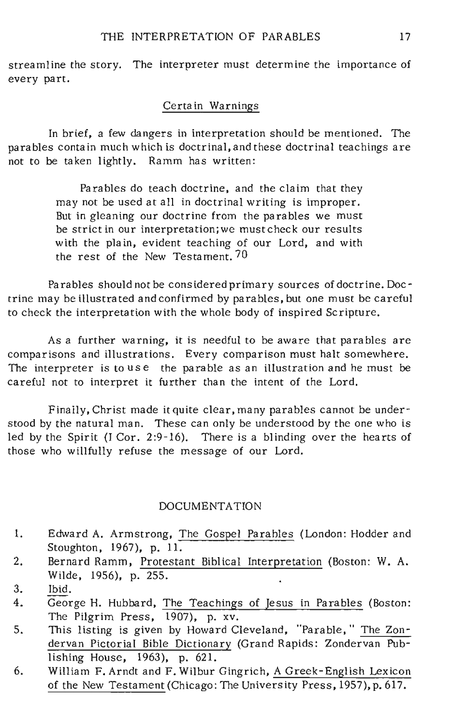streamline the story. The interpreter must determine the importance of every part.

### Certain Warnings

In brief, a few dangers in interpretation should be mentioned. The parables contain much which is doctrinal, and these doctrinal teachings are not to be taken lightly. Ramm has written:

> Parables do teach doctrine, and the claim that they may not be used at all in doctrinal writing is improper. But in gleaning our doctrine from the parables we must be strict in our interpretation;we must check our results with the plain, evident teaching of our Lord, and with the rest of the New Testament. 70

Parables should not be cons idered primary sources of doctrine. Doctrine may be illustrated and confirmed by parables, but one must be careful to check the interpretation with the whole body of inspired Scripture.

As a further warning, it is needful to be aware that parables are comparisons and illustrations. Every comparison must halt somewhere. The interpreter is to use the parable as an illustration and he must be careful not to interpret it further than the intent of the Lord.

Finally, Christ made it quite clear, many parables cannot be understood by the natural man. These can only be understood by the one who is led by the Spirit (I Cor. 2:9-16). There is a blinding over the hearts of those who willfully refuse the message of our Lord.

#### DOCUMENTA TION

- I. Edward A. Armstrong, The Gospel Parables (London: Hodder and Stoughton, 1967), p. II.
- 2. Bernard Ramm, Protestant Biblical Interpretation (Boston: W. A. Wilde, 1956), p. 255.
- 3. Ibid.
- 4. George H. Hubbard, The Teachings of Jesus in Parables (Boston: The Pilgrim Press, 1907), p. xv.
- 5. This listing is given by Howard Cleveland, "Parable," The Zondervan Pictorial Bible Dictionary (Grand Rapids: Zondervan Publishing House, 1963), p. 621.
- 6. William F.Arndt and F. Wilbur Gingrich, A Greek-English Lexicon of the New Testament (Chicago: The University Press, 1957), p. 617.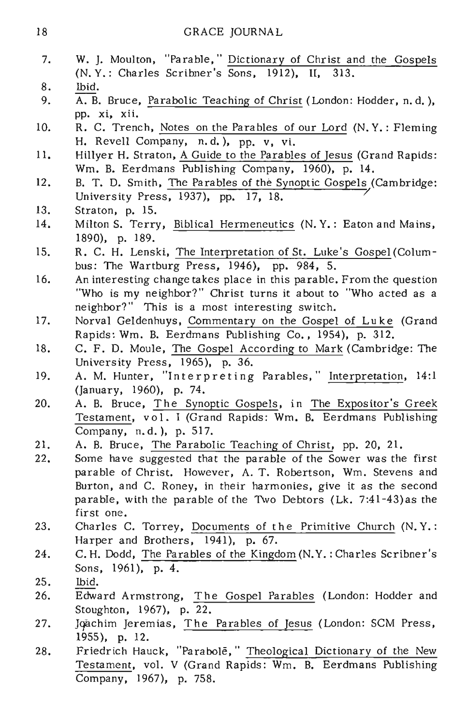## 18 GRACE JOURNAL

- 7. W. J. Moulton, "Parable," Dictionary of Christ and the Gospels (N. Y.: Charles Scribner's Sons, 1912), II, 313.
- 8. Ibid.
- 9. A. B. Bruce, Parabolic Teaching of Christ (London: Hodder, n. d. ), pp. xi, xii.
- 10. R. C. Trench, Notes on the Parables of our Lord (N. Y.: Fleming H. Revell Company, n.d.), pp. v. vi.
- 11. Hillyer H. Straton, A Guide to the Parables of Jesus (Grand Rapids: Wm. B. Eerdmans Publishing Company, 1960), p. 14.
- 12. B. T. D. Smith, The Parables of the Synoptic Gospels (Cambridge: University Press, 1937), pp. 17, 18.
- 13. Straton, p. 15.
- 14. Milton S. Terry, Biblical Hermeneutics (N. Y.: Eaton and Mains, 1890), p. 189.
- 15. R. C. H. Lenski, The Interpretation of St. Luke's Gospel (Columbus: The Wartburg Press, 1946), pp. 984, 5.
- 16. An interesting change takes place in this parable. From the question "Who is my neighbor?" Christ turns it about to "Who acted as a neighbor?" This is a most interesting switch.
- 17. Norval Geldenhuys, Commentary on the Gospel of Luke (Grand Rapids: Wm. B. Eerdmans Publishing Co., 1954), p. 312.
- 18. C. F. D. Maule, The Gospel According to Mark (Cambridge: The University Press, 1965), p. 36.
- 19. A. M. Hunter, "Interpreting Parables," Interpretation, 14:1 (January, 1960), p. 74.
- 20. A. B. Bruce, The Synoptic Gospels, in The Expositor's Greek Testament, vol. I (Grand Rapids: Wm. B. Eerdmans Publishing Company, n. d.), p. 517.
- 21. A. B. Bruce, The Parabolic Teaching of Christ, pp. 20, 21.
- 22. Some have suggested that the parable of the Sower was the first parable of Christ. However, A. T. Robertson, Wm. Stevens and Burton, and C. Roney, in their harmonies, give it as the second parable, with the parable of the Two Debtors (Lk. 7:41-43)as the first one.
- 23. Charles C. Torrey, Documents of the Primitive Church (N. Y.: Harper and Brothers, 1941), p. 67.
- 24. C. H. Dodd, The Parables of the Kingdom (N.Y.: Charles Scribner's Sons, 1961), p. 4.
- 25. Ibid.
- 26. Edward Armstrong, The Gospel Parables (London: Hodder and Stoughton, 1967), p. 22.
- 27. Joachim Jeremias, The Parables of Jesus (London: SCM Press, 1955), p. 12.
- 28. Friedrich Hauck, "Parabole," Theological Dictionary of the New Testament, vol. V (Grand Rapids: Wm. B. Eerdmans Publishing Company, 1967), p. 758.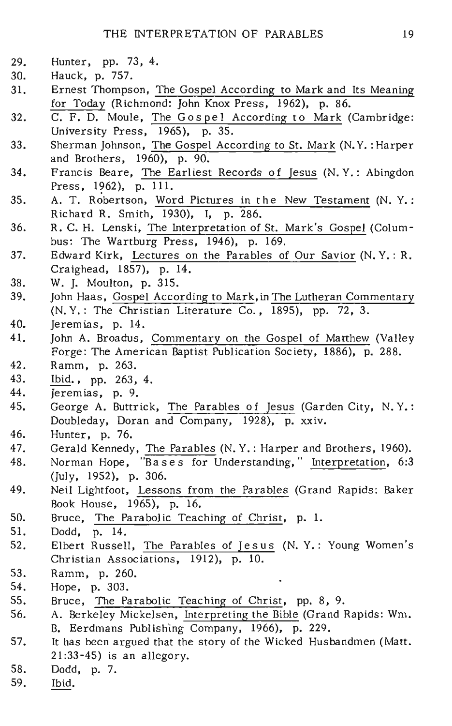- 29. Hunter, pp. 73, 4.
- 30. Hauck, p. 757.
- 31. Ernest Thompson, The Gospel According to Mark and Its Meaning for Today (Richmond: John Knox Press, 1962), p. 86.
- $32.$   $\overline{C. F. D.}$  Moule, The Gospel According to Mark (Cambridge: University Press, 1965), p. 35.
- 33. Sherman Johnson, The Gospel According to St. Mark (N. Y. : Harper and Brothers, 1960), p. 90.
- 34. Francis Beare, The Earliest Records of Jesus (N. Y.: Abingdon Press, 1962), p. 111.
- 35. A. T. Robertson, Word Pictures in the New Testament (N. Y.: Richard R. Smith, 1930), I, p. 286.
- 36. R. C. H. Lenski, The Interpretation of St. Mark's Gospel (Columbus: The Wartburg Press, 1946), p. 169,
- 37. Edward Kirk, Lectures on the Parables of Our Savior (N. Y. : R. Craighead, 1857), p. 14.
- 38. W. J. Moulton, p. 315.<br>39. Iohn Haas. Gospel Acco:
- John Haas, Gospel According to Mark, in The Lutheran Commentary (N. Y.: The Christian Literature Co., 1895), pp. 72, 3.
- 40. Jeremias, p. 14.
- 41. John A. Broadus, Commentary on the Gospel of Matthew (Valley Forge: The American Baptist Publication Society, 1886), p. 288.
- 42. Ramm, p. 263.
- 43. Ibid., pp. 263, 4.<br>44. **Ieremias.** p. 9.
- 44. Jeremias, p. 9.<br>45. George A. Buttr
- George A. Buttrick, The Parables of Jesus (Garden City, N.Y.: Doubleday, Doran and Company, 1928), p. xxiv.
- 46. Hunter, p. 76.<br>47. Gerald Kennedy
- 47. Gerald Kennedy, The Parables (N.Y.: Harper and Brothers, 1960).<br>48. Norman Hone, "Bases for Understanding." Interpretation, 6:3
- Norman Hope, "Bases for Understanding," Interpretation, 6:3 (July, 1952), p. 306.
- 49. Neil Lightfoot, Lessons from the Parables (Grand Rapids: Baker Book House, 1965), p. 16.
- 50. Bruce, The Parabolic Teaching of Christ, p. 1.<br>51. Dodd. p. 14.
- 51. Dodd, p. 14.<br>52. Elbert Russell
- Elbert Russell, The Parables of Jesus (N. Y.: Young Women's Christian Associations, 1912), p. 10.
- 53. Ramm, p. 260.<br>54. Hope, p. 303.
- 54. Hope, p. 303.<br>55. Bruce. The Pa
- 55. Bruce, The Parabolic Teaching of Christ, pp. 8, 9.<br>56. A. Berkeley Mickelsen, Interpreting the Bible (Grand H
- 56. A. Berkeley Mickelsen, Interpreting the Bible (Grand Rapids: Wm. B. Eerdmans Publish'ing Company, 1966), p. 229.
- 57. It has been argued that the story of the Wicked Husbandmen (Matt. 21:33-45) is an allegory.
- 58. Dodd, p. 7.
- Ibid.